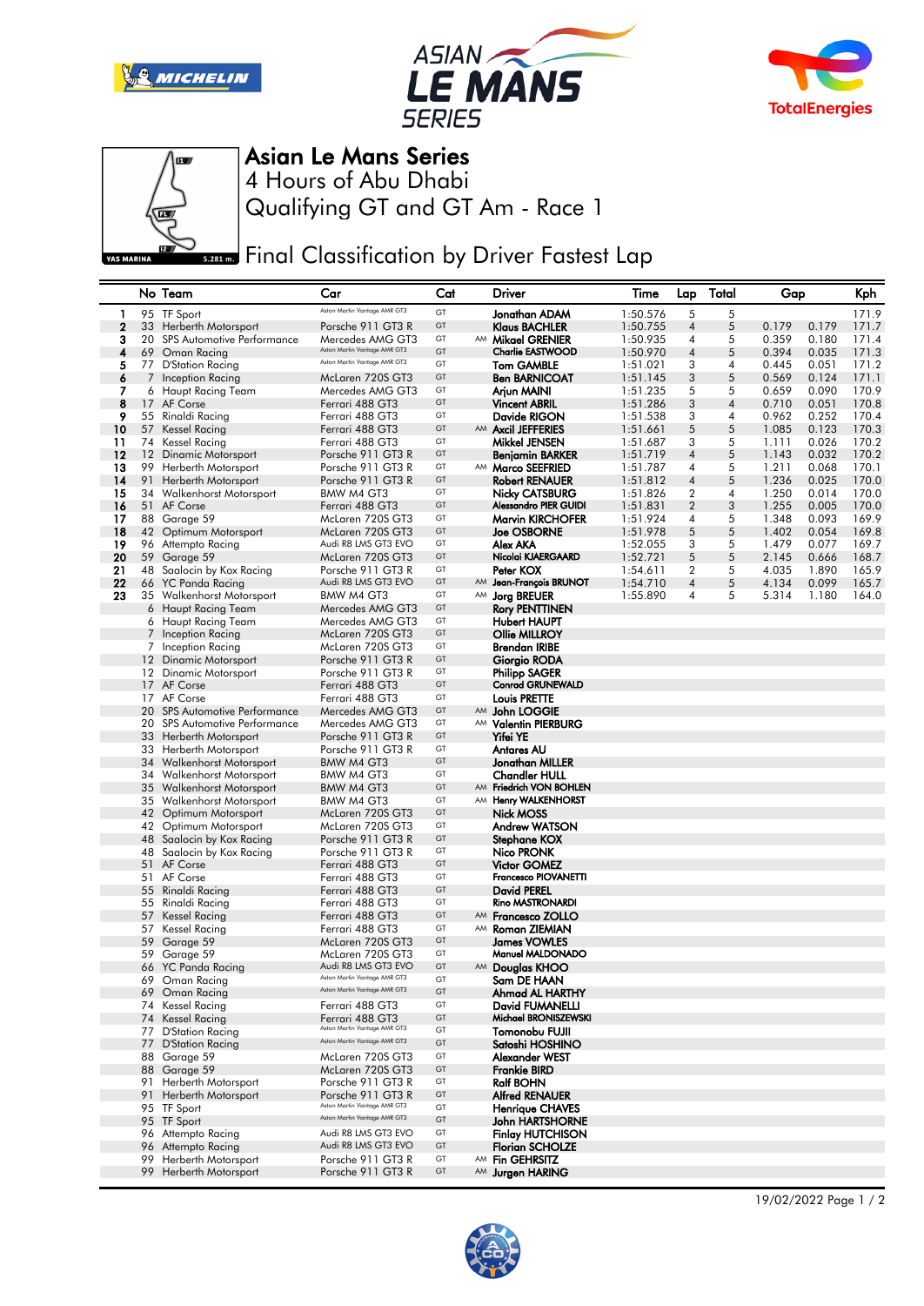







## Asian Le Mans Series

Qualifying GT and GT Am - Race 1 4 Hours of Abu Dhabi

**Final Classification by Driver Fastest Lap** 

|             | No Team                                    | Car                                                 | Cat      | Driver                                  | Time     | Lap              | Total | Gap   | Kph            |
|-------------|--------------------------------------------|-----------------------------------------------------|----------|-----------------------------------------|----------|------------------|-------|-------|----------------|
| 1           | 95 TF Sport                                | Aston Martin Vantage AMR GT3                        | GT       | Jonathan ADAM                           | 1:50.576 | 5                | 5     |       | 171.9          |
| $\mathbf 2$ | 33 Herberth Motorsport                     | Porsche 911 GT3 R                                   | GT       | <b>Klaus BACHLER</b>                    | 1:50.755 | $\overline{4}$   | 5     | 0.179 | 0.179<br>171.7 |
| з           | 20 SPS Automotive Performance              | Mercedes AMG GT3                                    | GT       | AM Mikael GRENIER                       | 1:50.935 | 4                | 5     | 0.359 | 0.180<br>171.4 |
| 4           | 69 Oman Racing                             | Aston Martin Vantage AMR GT3                        | GT       | <b>Charlie EASTWOOD</b>                 | 1:50.970 | $\overline{4}$   | 5     | 0.394 | 0.035<br>171.3 |
| 5           | 77 D'Station Racing                        | Aston Martin Vantage AMR GT3                        | GT       | <b>Tom GAMBLE</b>                       | 1:51.021 | 3                | 4     | 0.445 | 171.2<br>0.051 |
| 6           | 7 Inception Racing                         | McLaren 720S GT3                                    | GT       | <b>Ben BARNICOAT</b>                    | 1:51.145 | 3                | 5     | 0.569 | 0.124<br>171.1 |
| 7           | 6 Haupt Racing Team                        | Mercedes AMG GT3                                    | GT       | Arjun MAINI                             | 1:51.235 | 5                | 5     | 0.659 | 170.9<br>0.090 |
| 8           | 17 AF Corse                                | Ferrari 488 GT3                                     | GT       | <b>Vincent ABRIL</b>                    | 1:51.286 | 3                | 4     | 0.710 | 0.051<br>170.8 |
| 9           | 55 Rinaldi Racing                          | Ferrari 488 GT3                                     | GT       | Davide RIGON                            | 1:51.538 | 3                | 4     | 0.962 | 0.252<br>170.4 |
| 10          | 57 Kessel Racing                           | Ferrari 488 GT3                                     | GT       | AM Axcil JEFFERIES                      | 1:51.661 | 5                | 5     | 1.085 | 0.123<br>170.3 |
| 11          | 74 Kessel Racing                           | Ferrari 488 GT3                                     | GT       | Mikkel JENSEN                           | 1:51.687 | 3                | 5     | 1.111 | 0.026<br>170.2 |
| 12          | 12 Dinamic Motorsport                      | Porsche 911 GT3 R                                   | GT       | Benjamin BARKER                         | 1:51.719 | $\overline{4}$   | 5     | 1.143 | 0.032<br>170.2 |
| 13          | 99 Herberth Motorsport                     | Porsche 911 GT3 R                                   | GT       | AM Marco SEEFRIED                       | 1:51.787 | 4                | 5     | 1.211 | 170.1<br>0.068 |
| 14          | 91 Herberth Motorsport                     | Porsche 911 GT3 R                                   | GT       | <b>Robert RENAUER</b>                   | 1:51.812 | $\overline{4}$   | 5     | 1.236 | 0.025<br>170.0 |
| 15          | 34 Walkenhorst Motorsport                  | BMW M4 GT3                                          | GT       | <b>Nicky CATSBURG</b>                   | 1:51.826 | $\overline{2}$   | 4     | 1.250 | 170.0<br>0.014 |
| 16          | 51 AF Corse                                | Ferrari 488 GT3                                     | GT       | Alessandro PIER GUIDI                   | 1:51.831 | $\overline{2}$   | 3     | 1.255 | 0.005<br>170.0 |
| 17          | 88 Garage 59                               | McLaren 720S GT3                                    | GT       | <b>Marvin KIRCHOFER</b>                 | 1:51.924 | 4                | 5     | 1.348 | 169.9<br>0.093 |
| 18          | 42 Optimum Motorsport                      | McLaren 720S GT3                                    | GT       | <b>Joe OSBORNE</b>                      | 1:51.978 | 5                | 5     | 1.402 | 0.054<br>169.8 |
| 19          | 96 Attempto Racing                         | Audi R8 LMS GT3 EVO                                 | GT       | Alex AKA                                | 1:52.055 | 3                | 5     | 1.479 | 0.077<br>169.7 |
| 20          | 59 Garage 59                               | McLaren 720S GT3                                    | GT       | Nicolai KJAERGAARD                      | 1:52.721 | 5                | 5     | 2.145 | 0.666<br>168.7 |
| 21          | 48 Saalocin by Kox Racing                  | Porsche 911 GT3 R                                   | GT       | Peter KOX                               | 1:54.611 | $\boldsymbol{2}$ | 5     | 4.035 | 1.890<br>165.9 |
| 22          | 66 YC Panda Racing                         | Audi R8 LMS GT3 EVO                                 | GT       | AM Jean-François BRUNOT                 | 1:54.710 | $\overline{4}$   | 5     | 4.134 | 0.099<br>165.7 |
| 23          | 35 Walkenhorst Motorsport                  | BMW M4 GT3                                          | GT       | AM Jorg BREUER                          | 1:55.890 | 4                | 5     | 5.314 | 1.180<br>164.0 |
|             | 6 Haupt Racing Team                        | Mercedes AMG GT3                                    | GT       | <b>Rory PENTTINEN</b>                   |          |                  |       |       |                |
|             | 6 Haupt Racing Team                        | Mercedes AMG GT3                                    | GT       | <b>Hubert HAUPT</b>                     |          |                  |       |       |                |
|             | 7 Inception Racing                         | McLaren 720S GT3                                    | GT       | <b>Ollie MILLROY</b>                    |          |                  |       |       |                |
|             | 7 Inception Racing                         | McLaren 720S GT3                                    | GT       | <b>Brendan IRIBE</b>                    |          |                  |       |       |                |
|             | 12 Dinamic Motorsport                      | Porsche 911 GT3 R                                   | GT       | Giorgio RODA                            |          |                  |       |       |                |
|             | 12 Dinamic Motorsport                      | Porsche 911 GT3 R                                   | GT       | <b>Philipp SAGER</b>                    |          |                  |       |       |                |
|             | 17 AF Corse                                | Ferrari 488 GT3                                     | GT       | <b>Conrad GRUNEWALD</b>                 |          |                  |       |       |                |
|             | 17 AF Corse                                | Ferrari 488 GT3                                     | GT       | <b>Louis PRETTE</b>                     |          |                  |       |       |                |
|             | 20 SPS Automotive Performance              | Mercedes AMG GT3                                    | GT       | AM John LOGGIE                          |          |                  |       |       |                |
|             | 20 SPS Automotive Performance              | Mercedes AMG GT3                                    | GT       | AM Valentin PIERBURG                    |          |                  |       |       |                |
|             | 33 Herberth Motorsport                     | Porsche 911 GT3 R                                   | GT       | <b>Yifei YE</b>                         |          |                  |       |       |                |
|             | 33 Herberth Motorsport                     | Porsche 911 GT3 R                                   | GT       | <b>Antares AU</b>                       |          |                  |       |       |                |
|             | 34 Walkenhorst Motorsport                  | BMW M4 GT3                                          | GT       | Jonathan MILLER                         |          |                  |       |       |                |
|             | 34 Walkenhorst Motorsport                  | BMW M4 GT3                                          | GT       | <b>Chandler HULL</b>                    |          |                  |       |       |                |
|             | 35 Walkenhorst Motorsport                  | BMW M4 GT3                                          | GT       | AM Friedrich VON BOHLEN                 |          |                  |       |       |                |
|             | 35 Walkenhorst Motorsport                  | BMW M4 GT3                                          | GT       | AM Henry WALKENHORST                    |          |                  |       |       |                |
|             | 42 Optimum Motorsport                      | McLaren 720S GT3                                    | GT       | <b>Nick MOSS</b>                        |          |                  |       |       |                |
|             | 42 Optimum Motorsport                      | McLaren 720S GT3                                    | GT       | Andrew WATSON                           |          |                  |       |       |                |
|             | 48 Saalocin by Kox Racing                  | Porsche 911 GT3 R                                   | GT       | Stephane KOX                            |          |                  |       |       |                |
|             | 48 Saalocin by Kox Racing                  | Porsche 911 GT3 R                                   | GT       | Nico PRONK                              |          |                  |       |       |                |
|             | 51 AF Corse                                | Ferrari 488 GT3                                     | GT       | <b>Victor GOMEZ</b>                     |          |                  |       |       |                |
|             | 51 AF Corse                                | Ferrari 488 GT3                                     | GT       | Francesco PIOVANETTI                    |          |                  |       |       |                |
|             | 55 Rinaldi Racing                          | Ferrari 488 GT3                                     | GT       | <b>David PEREL</b>                      |          |                  |       |       |                |
|             | 55 Rinaldi Racing                          | Ferrari 488 GT3                                     | GT       | <b>Rino MASTRONARDI</b>                 |          |                  |       |       |                |
|             | 57 Kessel Racing                           | Ferrari 488 GT3                                     | GT       | AM Francesco ZOLLO                      |          |                  |       |       |                |
|             | 57 Kessel Racing                           | Ferrari 488 GT3                                     | GT       | AM Roman ZIEMIAN                        |          |                  |       |       |                |
|             | 59 Garage 59                               | McLaren 720S GT3                                    | GT       | James VOWLES                            |          |                  |       |       |                |
|             | 59 Garage 59                               | McLaren 720S GT3                                    | GT       | Manuel MALDONADO                        |          |                  |       |       |                |
|             | 66 YC Panda Racing                         | Audi R8 LMS GT3 EVO<br>Aston Martin Vantage AMR GT3 | GT       | AM Douglas KHOO                         |          |                  |       |       |                |
|             | 69 Oman Racing                             | Aston Martin Vantage AMR GT3                        | GT       | Sam DE HAAN                             |          |                  |       |       |                |
|             | 69 Oman Racing                             |                                                     | GT       | Ahmad AL HARTHY                         |          |                  |       |       |                |
|             | 74 Kessel Racing                           | Ferrari 488 GT3                                     | GT<br>GT | David FUMANELLI<br>Michael BRONISZEWSKI |          |                  |       |       |                |
|             | 74 Kessel Racing                           | Ferrari 488 GT3<br>Aston Martin Vantage AMR GT3     | GT       |                                         |          |                  |       |       |                |
|             | 77 D'Station Racing<br>77 D'Station Racing | Aston Martin Vantage AMR GT3                        | GT       | Tomonobu FUJII                          |          |                  |       |       |                |
|             | 88 Garage 59                               | McLaren 720S GT3                                    | GT       | Satoshi HOSHINO<br>Alexander WEST       |          |                  |       |       |                |
|             | 88 Garage 59                               | McLaren 720S GT3                                    | GT       | Frankie BIRD                            |          |                  |       |       |                |
|             | 91 Herberth Motorsport                     | Porsche 911 GT3 R                                   | GT       | <b>Ralf BOHN</b>                        |          |                  |       |       |                |
|             | 91 Herberth Motorsport                     | Porsche 911 GT3 R                                   | GT       | <b>Alfred RENAUER</b>                   |          |                  |       |       |                |
|             | 95 TF Sport                                | Aston Martin Vantage AMR GT3                        | GT       | <b>Henrique CHAVES</b>                  |          |                  |       |       |                |
|             | 95 TF Sport                                | Aston Martin Vantage AMR GT3                        | GT       | <b>John HARTSHORNE</b>                  |          |                  |       |       |                |
|             | 96 Attempto Racing                         | Audi R8 LMS GT3 EVO                                 | GT       | <b>Finlay HUTCHISON</b>                 |          |                  |       |       |                |
|             | 96 Attempto Racing                         | Audi R8 LMS GT3 EVO                                 | GT       | <b>Florian SCHOLZE</b>                  |          |                  |       |       |                |
|             | 99 Herberth Motorsport                     | Porsche 911 GT3 R                                   | GT       | AM Fin GEHRSITZ                         |          |                  |       |       |                |
|             | 99 Herberth Motorsport                     | Porsche 911 GT3 R                                   | GT       | AM Jurgen HARING                        |          |                  |       |       |                |
|             |                                            |                                                     |          |                                         |          |                  |       |       |                |